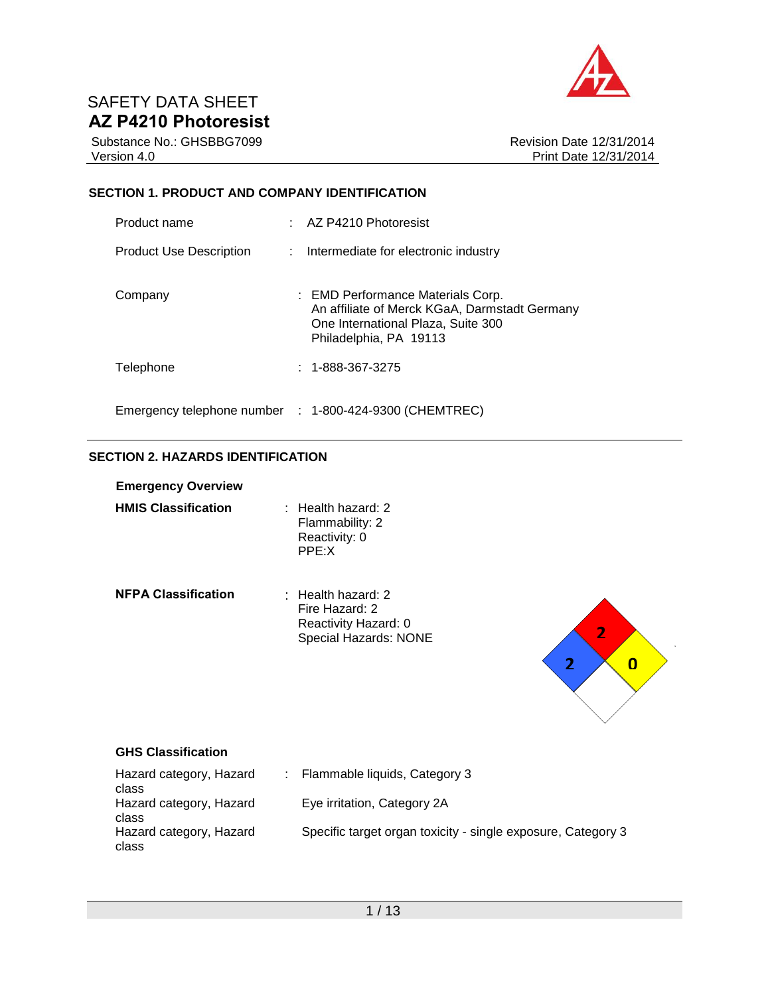

Substance No.: GHSBBG7099 Version 4.0

Revision Date 12/31/2014 Print Date 12/31/2014

### **SECTION 1. PRODUCT AND COMPANY IDENTIFICATION**

| Product name                   |               | AZ P4210 Photoresist                                                                                                                               |
|--------------------------------|---------------|----------------------------------------------------------------------------------------------------------------------------------------------------|
| <b>Product Use Description</b> | $\mathcal{L}$ | Intermediate for electronic industry                                                                                                               |
| Company                        |               | : EMD Performance Materials Corp.<br>An affiliate of Merck KGaA, Darmstadt Germany<br>One International Plaza, Suite 300<br>Philadelphia, PA 19113 |
| Telephone                      |               | $: 1 - 888 - 367 - 3275$                                                                                                                           |
|                                |               | Emergency telephone number : 1-800-424-9300 (CHEMTREC)                                                                                             |

## **SECTION 2. HAZARDS IDENTIFICATION**

| <b>Emergency Overview</b>  |                                                                                             |
|----------------------------|---------------------------------------------------------------------------------------------|
| <b>HMIS Classification</b> | $\pm$ Health hazard: 2.<br>Flammability: 2<br>Reactivity: 0<br>PPE: X                       |
| <b>NFPA Classification</b> | $\cdot$ Health hazard: 2<br>Fire Hazard: 2<br>Reactivity Hazard: 0<br>Special Hazards: NONE |



### **GHS Classification**

| Hazard category, Hazard<br>class | : Flammable liquids, Category 3                              |
|----------------------------------|--------------------------------------------------------------|
| Hazard category, Hazard<br>class | Eye irritation, Category 2A                                  |
| Hazard category, Hazard<br>class | Specific target organ toxicity - single exposure, Category 3 |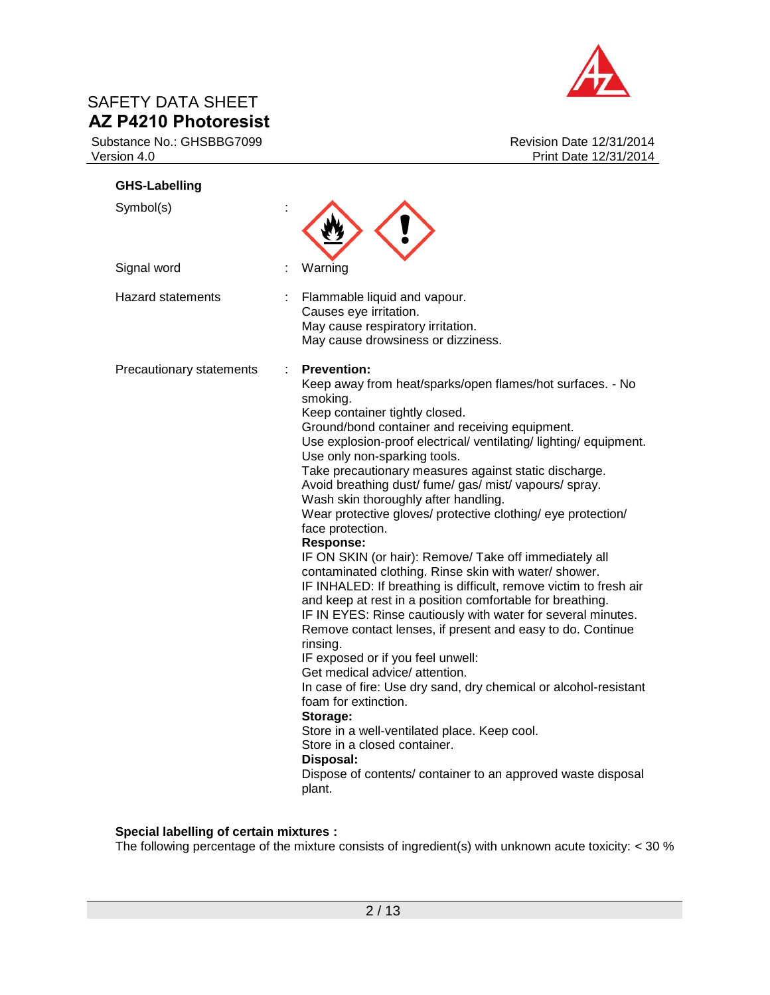

Substance No.: GHSBBG7099 Version 4.0

| <b>GHS-Labelling</b>     |                                                                                                                                                                                                                                                                                                                                                                                                                                                                                                                                                                                                                                                                                                                                                                                                                                                                                                                                                                                                                                                                                                                                                                                                                                                                                                             |
|--------------------------|-------------------------------------------------------------------------------------------------------------------------------------------------------------------------------------------------------------------------------------------------------------------------------------------------------------------------------------------------------------------------------------------------------------------------------------------------------------------------------------------------------------------------------------------------------------------------------------------------------------------------------------------------------------------------------------------------------------------------------------------------------------------------------------------------------------------------------------------------------------------------------------------------------------------------------------------------------------------------------------------------------------------------------------------------------------------------------------------------------------------------------------------------------------------------------------------------------------------------------------------------------------------------------------------------------------|
| Symbol(s)                |                                                                                                                                                                                                                                                                                                                                                                                                                                                                                                                                                                                                                                                                                                                                                                                                                                                                                                                                                                                                                                                                                                                                                                                                                                                                                                             |
| Signal word              | Warning                                                                                                                                                                                                                                                                                                                                                                                                                                                                                                                                                                                                                                                                                                                                                                                                                                                                                                                                                                                                                                                                                                                                                                                                                                                                                                     |
| <b>Hazard statements</b> | Flammable liquid and vapour.<br>Causes eye irritation.<br>May cause respiratory irritation.<br>May cause drowsiness or dizziness.                                                                                                                                                                                                                                                                                                                                                                                                                                                                                                                                                                                                                                                                                                                                                                                                                                                                                                                                                                                                                                                                                                                                                                           |
| Precautionary statements | <b>Prevention:</b><br>Keep away from heat/sparks/open flames/hot surfaces. - No<br>smoking.<br>Keep container tightly closed.<br>Ground/bond container and receiving equipment.<br>Use explosion-proof electrical/ ventilating/ lighting/ equipment.<br>Use only non-sparking tools.<br>Take precautionary measures against static discharge.<br>Avoid breathing dust/ fume/ gas/ mist/ vapours/ spray.<br>Wash skin thoroughly after handling.<br>Wear protective gloves/ protective clothing/ eye protection/<br>face protection.<br><b>Response:</b><br>IF ON SKIN (or hair): Remove/ Take off immediately all<br>contaminated clothing. Rinse skin with water/shower.<br>IF INHALED: If breathing is difficult, remove victim to fresh air<br>and keep at rest in a position comfortable for breathing.<br>IF IN EYES: Rinse cautiously with water for several minutes.<br>Remove contact lenses, if present and easy to do. Continue<br>rinsing.<br>IF exposed or if you feel unwell:<br>Get medical advice/ attention.<br>In case of fire: Use dry sand, dry chemical or alcohol-resistant<br>foam for extinction.<br>Storage:<br>Store in a well-ventilated place. Keep cool.<br>Store in a closed container.<br>Disposal:<br>Dispose of contents/ container to an approved waste disposal<br>plant. |

### **Special labelling of certain mixtures :**

The following percentage of the mixture consists of ingredient(s) with unknown acute toxicity:  $<$  30  $\%$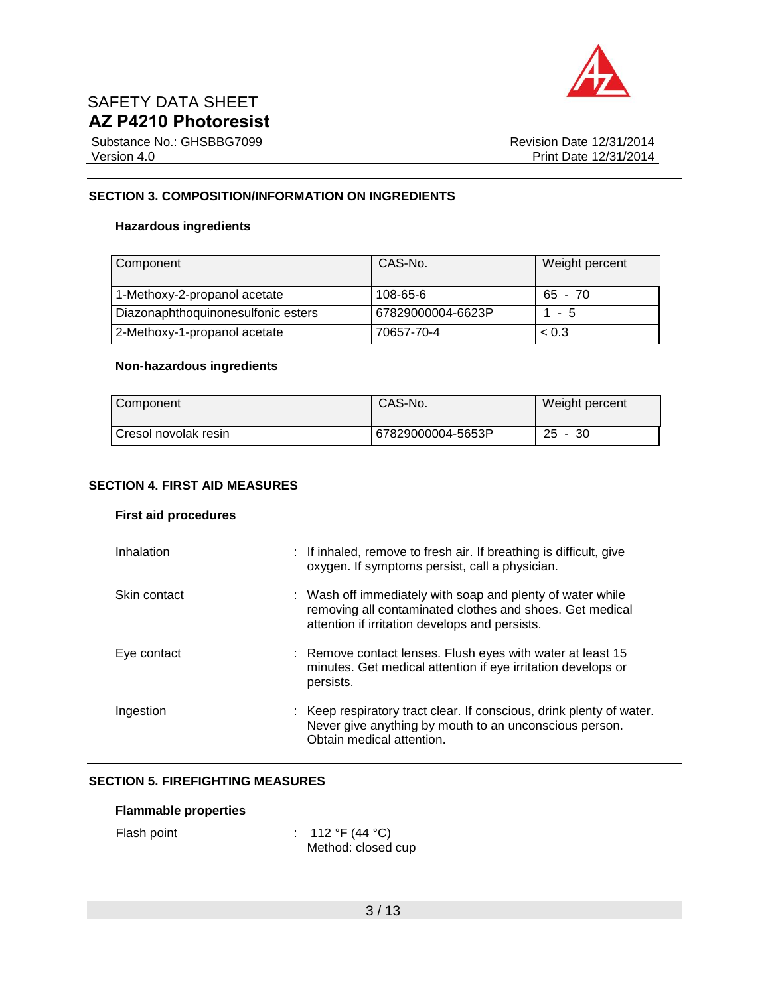

Substance No.: GHSBBG7099 Version 4.0

Revision Date 12/31/2014 Print Date 12/31/2014

### **SECTION 3. COMPOSITION/INFORMATION ON INGREDIENTS**

### **Hazardous ingredients**

| Component                          | CAS-No.           | Weight percent |
|------------------------------------|-------------------|----------------|
| 1-Methoxy-2-propanol acetate       | 108-65-6          | $65 - 70$      |
| Diazonaphthoquinonesulfonic esters | 67829000004-6623P | $1 - 5$        |
| 2-Methoxy-1-propanol acetate       | 70657-70-4        | ~< 0.3         |

### **Non-hazardous ingredients**

| Component            | CAS-No.           | Weight percent |
|----------------------|-------------------|----------------|
| Cresol novolak resin | 67829000004-5653P | $25 - 30$      |

### **SECTION 4. FIRST AID MEASURES**

### **First aid procedures**

| Inhalation   | : If inhaled, remove to fresh air. If breathing is difficult, give<br>oxygen. If symptoms persist, call a physician.                                                     |
|--------------|--------------------------------------------------------------------------------------------------------------------------------------------------------------------------|
| Skin contact | : Wash off immediately with soap and plenty of water while<br>removing all contaminated clothes and shoes. Get medical<br>attention if irritation develops and persists. |
| Eye contact  | : Remove contact lenses. Flush eyes with water at least 15<br>minutes. Get medical attention if eye irritation develops or<br>persists.                                  |
| Ingestion    | : Keep respiratory tract clear. If conscious, drink plenty of water.<br>Never give anything by mouth to an unconscious person.<br>Obtain medical attention.              |

### **SECTION 5. FIREFIGHTING MEASURES**

| <b>Flammable properties</b> |  |
|-----------------------------|--|
|-----------------------------|--|

Flash point : 112 °F (44 °C) Method: closed cup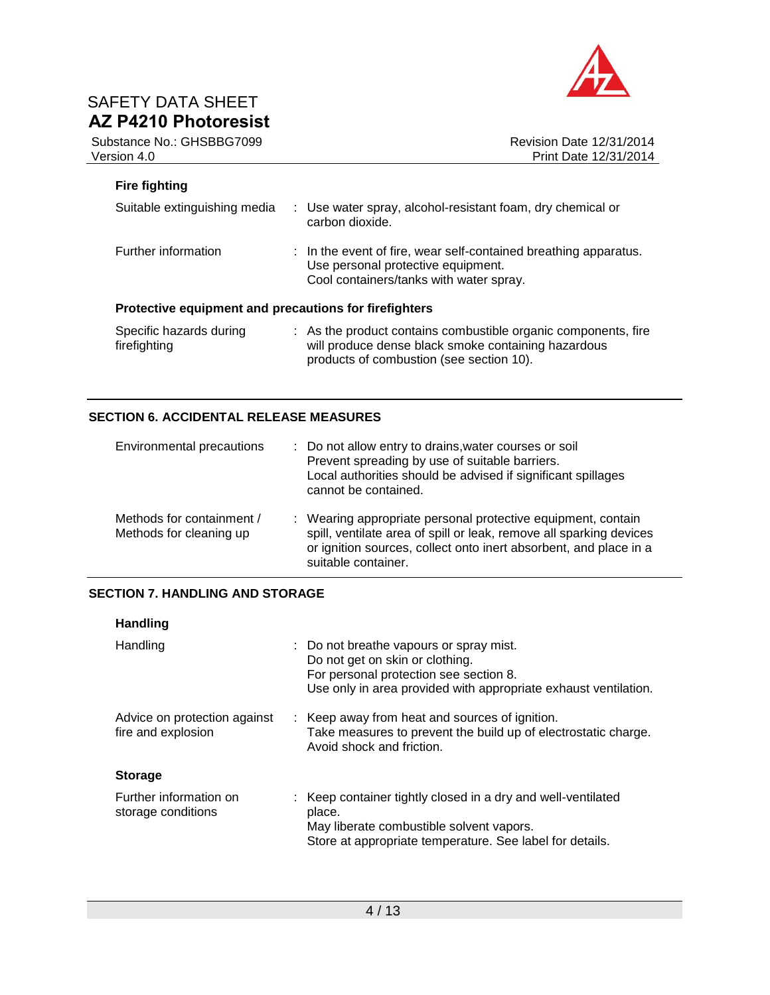



## **Fire fighting**

| Suitable extinguishing media                          | : Use water spray, alcohol-resistant foam, dry chemical or<br>carbon dioxide.                                                                     |
|-------------------------------------------------------|---------------------------------------------------------------------------------------------------------------------------------------------------|
| Further information                                   | : In the event of fire, wear self-contained breathing apparatus.<br>Use personal protective equipment.<br>Cool containers/tanks with water spray. |
| Protective equipment and precautions for firefighters |                                                                                                                                                   |
| Specific hazards during<br>firefighting               | : As the product contains combustible organic components, fire<br>will produce dense black smoke containing hazardous                             |

products of combustion (see section 10).

## **SECTION 6. ACCIDENTAL RELEASE MEASURES**

| Environmental precautions                            | : Do not allow entry to drains, water courses or soil<br>Prevent spreading by use of suitable barriers.<br>Local authorities should be advised if significant spillages<br>cannot be contained.                                 |
|------------------------------------------------------|---------------------------------------------------------------------------------------------------------------------------------------------------------------------------------------------------------------------------------|
| Methods for containment /<br>Methods for cleaning up | : Wearing appropriate personal protective equipment, contain<br>spill, ventilate area of spill or leak, remove all sparking devices<br>or ignition sources, collect onto inert absorbent, and place in a<br>suitable container. |

### **SECTION 7. HANDLING AND STORAGE**

| <b>Handling</b>                                    |                                                                                                                                                                                         |
|----------------------------------------------------|-----------------------------------------------------------------------------------------------------------------------------------------------------------------------------------------|
| Handling                                           | : Do not breathe vapours or spray mist.<br>Do not get on skin or clothing.<br>For personal protection see section 8.<br>Use only in area provided with appropriate exhaust ventilation. |
| Advice on protection against<br>fire and explosion | : Keep away from heat and sources of ignition.<br>Take measures to prevent the build up of electrostatic charge.<br>Avoid shock and friction.                                           |
| <b>Storage</b>                                     |                                                                                                                                                                                         |
| Further information on<br>storage conditions       | : Keep container tightly closed in a dry and well-ventilated<br>place.<br>May liberate combustible solvent vapors.<br>Store at appropriate temperature. See label for details.          |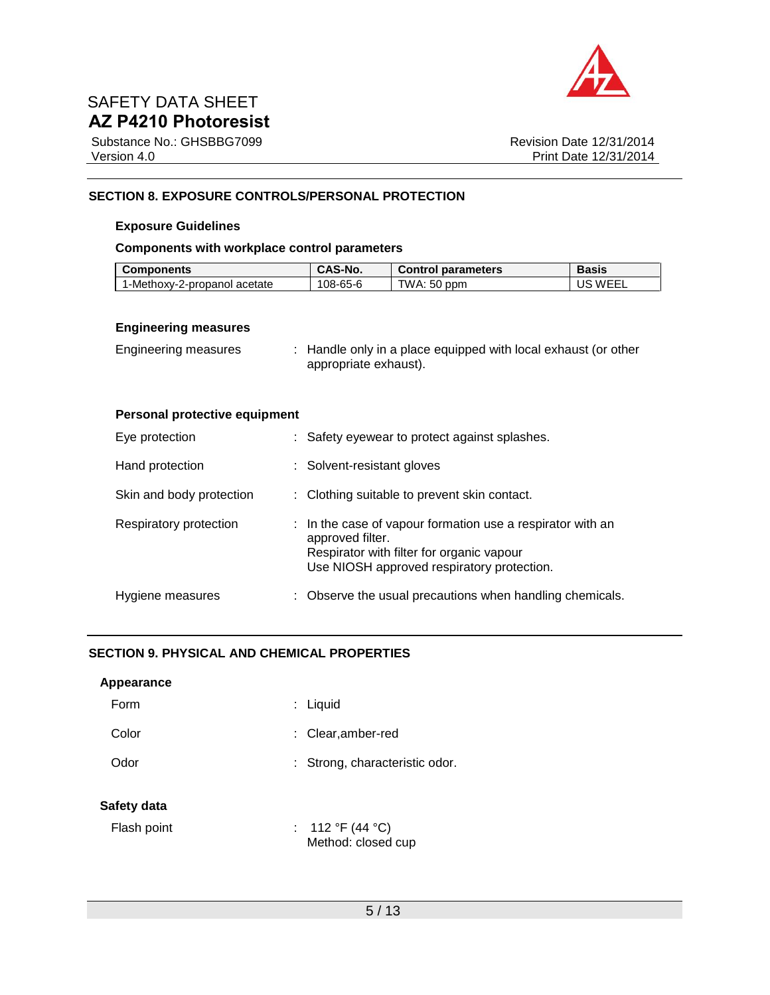

Substance No.: GHSBBG7099 Version 4.0

Revision Date 12/31/2014 Print Date 12/31/2014

### **SECTION 8. EXPOSURE CONTROLS/PERSONAL PROTECTION**

#### **Exposure Guidelines**

### **Components with workplace control parameters**

| <b>Components</b>            | <b>CAS-No.</b> | <b>Control parameters</b> | <b>Basis</b> |
|------------------------------|----------------|---------------------------|--------------|
| 1-Methoxv-2-propanol acetate | 108-65-6       | TWA: 50 ppm               | US WEEL      |

### **Engineering measures**

| Engineering measures | : Handle only in a place equipped with local exhaust (or other |
|----------------------|----------------------------------------------------------------|
|                      | appropriate exhaust).                                          |

### **Personal protective equipment**

| Eye protection           | : Safety eyewear to protect against splashes.                                                                                                                             |
|--------------------------|---------------------------------------------------------------------------------------------------------------------------------------------------------------------------|
| Hand protection          | : Solvent-resistant gloves                                                                                                                                                |
| Skin and body protection | : Clothing suitable to prevent skin contact.                                                                                                                              |
| Respiratory protection   | : In the case of vapour formation use a respirator with an<br>approved filter.<br>Respirator with filter for organic vapour<br>Use NIOSH approved respiratory protection. |
| Hygiene measures         | : Observe the usual precautions when handling chemicals.                                                                                                                  |

### **SECTION 9. PHYSICAL AND CHEMICAL PROPERTIES**

| Appearance  |                                        |
|-------------|----------------------------------------|
| Form        | : Liquid                               |
| Color       | : Clear, amber-red                     |
| Odor        | : Strong, characteristic odor.         |
| Safety data |                                        |
| Flash point | : 112 °F (44 °C)<br>Method: closed cup |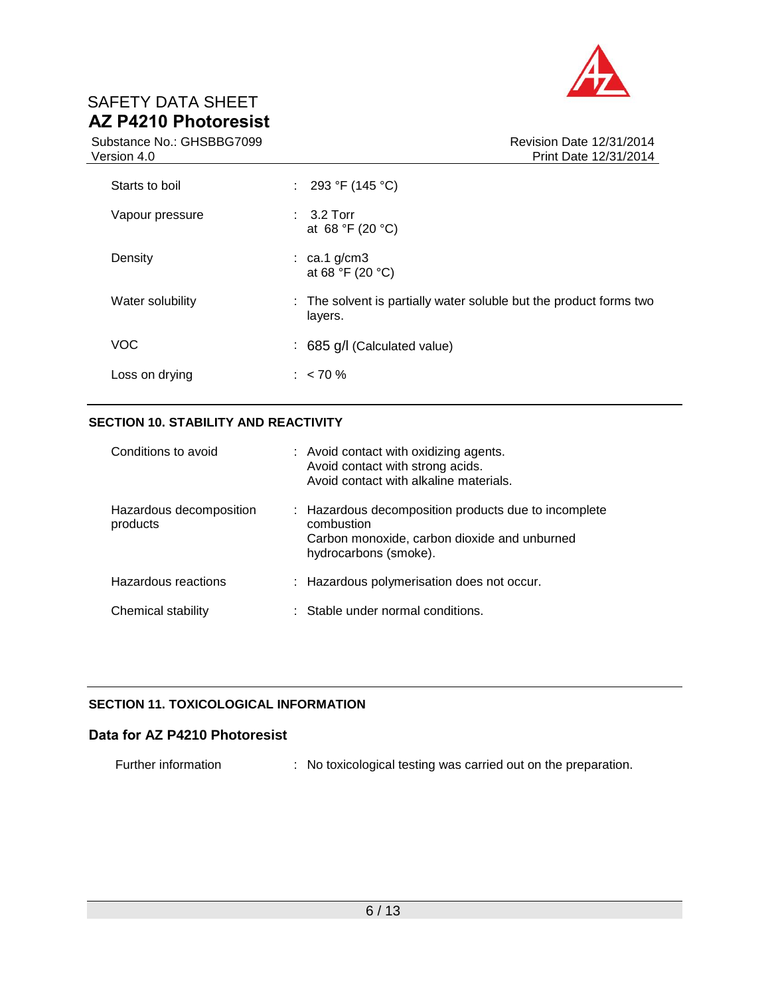

Substance No.: GHSBBG7099 Version 4.0

| Starts to boil   | : 293 °F (145 °C)                                                             |
|------------------|-------------------------------------------------------------------------------|
| Vapour pressure  | $\therefore$ 3.2 Torr<br>at 68 °F (20 °C)                                     |
| Density          | $\therefore$ ca.1 g/cm3<br>at 68 °F (20 °C)                                   |
| Water solubility | : The solvent is partially water soluble but the product forms two<br>layers. |
| <b>VOC</b>       | : 685 g/l (Calculated value)                                                  |
| Loss on drying   | $: 50\%$                                                                      |

### **SECTION 10. STABILITY AND REACTIVITY**

| Conditions to avoid                 | : Avoid contact with oxidizing agents.<br>Avoid contact with strong acids.<br>Avoid contact with alkaline materials.                        |
|-------------------------------------|---------------------------------------------------------------------------------------------------------------------------------------------|
| Hazardous decomposition<br>products | : Hazardous decomposition products due to incomplete<br>combustion<br>Carbon monoxide, carbon dioxide and unburned<br>hydrocarbons (smoke). |
| Hazardous reactions                 | : Hazardous polymerisation does not occur.                                                                                                  |
| Chemical stability                  | : Stable under normal conditions.                                                                                                           |

## **SECTION 11. TOXICOLOGICAL INFORMATION**

## **Data for AZ P4210 Photoresist**

Further information : No toxicological testing was carried out on the preparation.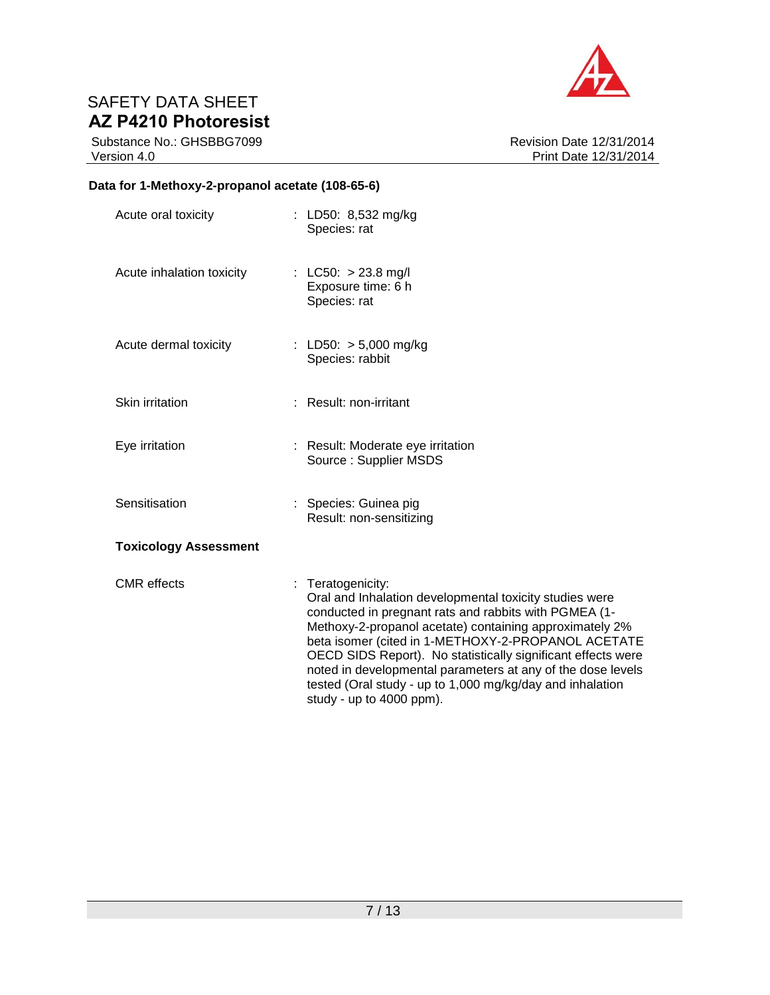

Substance No.: GHSBBG7099 Version 4.0

Revision Date 12/31/2014 Print Date 12/31/2014

## **Data for 1-Methoxy-2-propanol acetate (108-65-6)**

| Acute oral toxicity          | : LD50: 8,532 mg/kg<br>Species: rat                                                                                                                                                                                                                                                                                                                                                                                                                                            |
|------------------------------|--------------------------------------------------------------------------------------------------------------------------------------------------------------------------------------------------------------------------------------------------------------------------------------------------------------------------------------------------------------------------------------------------------------------------------------------------------------------------------|
| Acute inhalation toxicity    | : LC50: $> 23.8$ mg/l<br>Exposure time: 6 h<br>Species: rat                                                                                                                                                                                                                                                                                                                                                                                                                    |
| Acute dermal toxicity        | : LD50: $> 5,000$ mg/kg<br>Species: rabbit                                                                                                                                                                                                                                                                                                                                                                                                                                     |
| Skin irritation              | : Result: non-irritant                                                                                                                                                                                                                                                                                                                                                                                                                                                         |
| Eye irritation               | : Result: Moderate eye irritation<br>Source: Supplier MSDS                                                                                                                                                                                                                                                                                                                                                                                                                     |
| Sensitisation                | : Species: Guinea pig<br>Result: non-sensitizing                                                                                                                                                                                                                                                                                                                                                                                                                               |
| <b>Toxicology Assessment</b> |                                                                                                                                                                                                                                                                                                                                                                                                                                                                                |
| <b>CMR</b> effects           | : Teratogenicity:<br>Oral and Inhalation developmental toxicity studies were<br>conducted in pregnant rats and rabbits with PGMEA (1-<br>Methoxy-2-propanol acetate) containing approximately 2%<br>beta isomer (cited in 1-METHOXY-2-PROPANOL ACETATE<br>OECD SIDS Report). No statistically significant effects were<br>noted in developmental parameters at any of the dose levels<br>tested (Oral study - up to 1,000 mg/kg/day and inhalation<br>study - up to 4000 ppm). |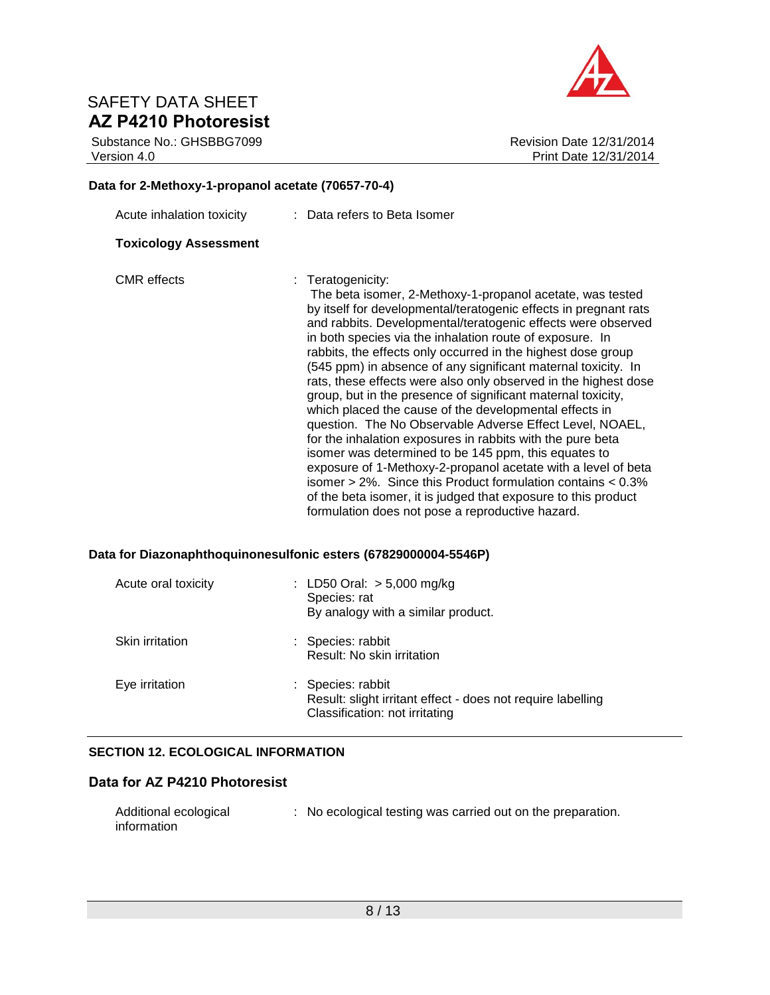Substance No.: GHSBBG7099 Version 4.0



Revision Date 12/31/2014 Print Date 12/31/2014

# **Data for 2-Methoxy-1-propanol acetate (70657-70-4)**

| Acute inhalation toxicity    | : Data refers to Beta Isomer                                                                                                                                                                                                                                                                                                                                                                                                                                                                                                                                                                                                                                                                                                                                                                                                                                                                                                                                                                                                                                  |
|------------------------------|---------------------------------------------------------------------------------------------------------------------------------------------------------------------------------------------------------------------------------------------------------------------------------------------------------------------------------------------------------------------------------------------------------------------------------------------------------------------------------------------------------------------------------------------------------------------------------------------------------------------------------------------------------------------------------------------------------------------------------------------------------------------------------------------------------------------------------------------------------------------------------------------------------------------------------------------------------------------------------------------------------------------------------------------------------------|
| <b>Toxicology Assessment</b> |                                                                                                                                                                                                                                                                                                                                                                                                                                                                                                                                                                                                                                                                                                                                                                                                                                                                                                                                                                                                                                                               |
| <b>CMR</b> effects           | $:$ Teratogenicity:<br>The beta isomer, 2-Methoxy-1-propanol acetate, was tested<br>by itself for developmental/teratogenic effects in pregnant rats<br>and rabbits. Developmental/teratogenic effects were observed<br>in both species via the inhalation route of exposure. In<br>rabbits, the effects only occurred in the highest dose group<br>(545 ppm) in absence of any significant maternal toxicity. In<br>rats, these effects were also only observed in the highest dose<br>group, but in the presence of significant maternal toxicity,<br>which placed the cause of the developmental effects in<br>question. The No Observable Adverse Effect Level, NOAEL,<br>for the inhalation exposures in rabbits with the pure beta<br>isomer was determined to be 145 ppm, this equates to<br>exposure of 1-Methoxy-2-propanol acetate with a level of beta<br>isomer $> 2\%$ . Since this Product formulation contains $< 0.3\%$<br>of the beta isomer, it is judged that exposure to this product<br>formulation does not pose a reproductive hazard. |

## **Data for Diazonaphthoquinonesulfonic esters (67829000004-5546P)**

| Acute oral toxicity | : LD50 Oral: $> 5,000$ mg/kg<br>Species: rat<br>By analogy with a similar product.                                 |
|---------------------|--------------------------------------------------------------------------------------------------------------------|
| Skin irritation     | : Species: rabbit<br>Result: No skin irritation                                                                    |
| Eye irritation      | : Species: rabbit<br>Result: slight irritant effect - does not require labelling<br>Classification: not irritating |

### **SECTION 12. ECOLOGICAL INFORMATION**

## **Data for AZ P4210 Photoresist**

| Additional ecological | : No ecological testing was carried out on the preparation. |
|-----------------------|-------------------------------------------------------------|
| information           |                                                             |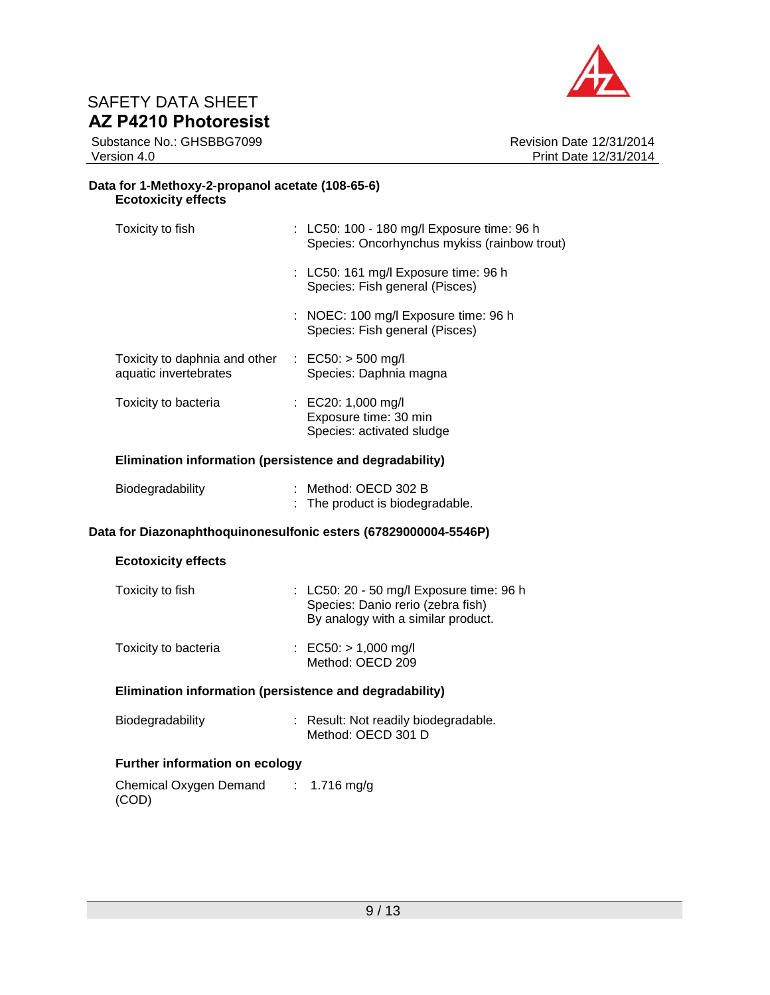

Substance No.: GHSBBG7099 Version 4.0

Revision Date 12/31/2014 Print Date 12/31/2014

### **Data for 1-Methoxy-2-propanol acetate (108-65-6) Ecotoxicity effects**

| Toxicity to fish                                                                     | : LC50: 100 - 180 mg/l Exposure time: 96 h<br>Species: Oncorhynchus mykiss (rainbow trout) |
|--------------------------------------------------------------------------------------|--------------------------------------------------------------------------------------------|
|                                                                                      | $\therefore$ LC50: 161 mg/l Exposure time: 96 h<br>Species: Fish general (Pisces)          |
|                                                                                      | $\therefore$ NOEC: 100 mg/l Exposure time: 96 h<br>Species: Fish general (Pisces)          |
| Toxicity to daphnia and other $\therefore$ EC50: > 500 mg/l<br>aquatic invertebrates | Species: Daphnia magna                                                                     |
| Toxicity to bacteria                                                                 | : EC20: 1,000 mg/l<br>Exposure time: 30 min<br>Species: activated sludge                   |
| Elimination information (persistence and degradability)                              |                                                                                            |
| Biodegradability                                                                     | : Method: OECD 302 B<br>The product is biodegradable.                                      |
|                                                                                      |                                                                                            |

## **Data for Diazonaphthoquinonesulfonic esters (67829000004-5546P)**

## **Ecotoxicity effects**

| Toxicity to fish     | : LC50: 20 - 50 mg/l Exposure time: 96 h<br>Species: Danio rerio (zebra fish)<br>By analogy with a similar product. |  |  |
|----------------------|---------------------------------------------------------------------------------------------------------------------|--|--|
| Toxicity to bacteria | : EC50: $> 1,000 \text{ mg/l}$<br>Method: OECD 209                                                                  |  |  |

### **Elimination information (persistence and degradability)**

| Biodegradability | : Result: Not readily biodegradable. |
|------------------|--------------------------------------|
|                  | Method: OECD 301 D                   |

### **Further information on ecology**

| Chemical Oxygen Demand | : 1.716 mg/g |
|------------------------|--------------|
| (COD)                  |              |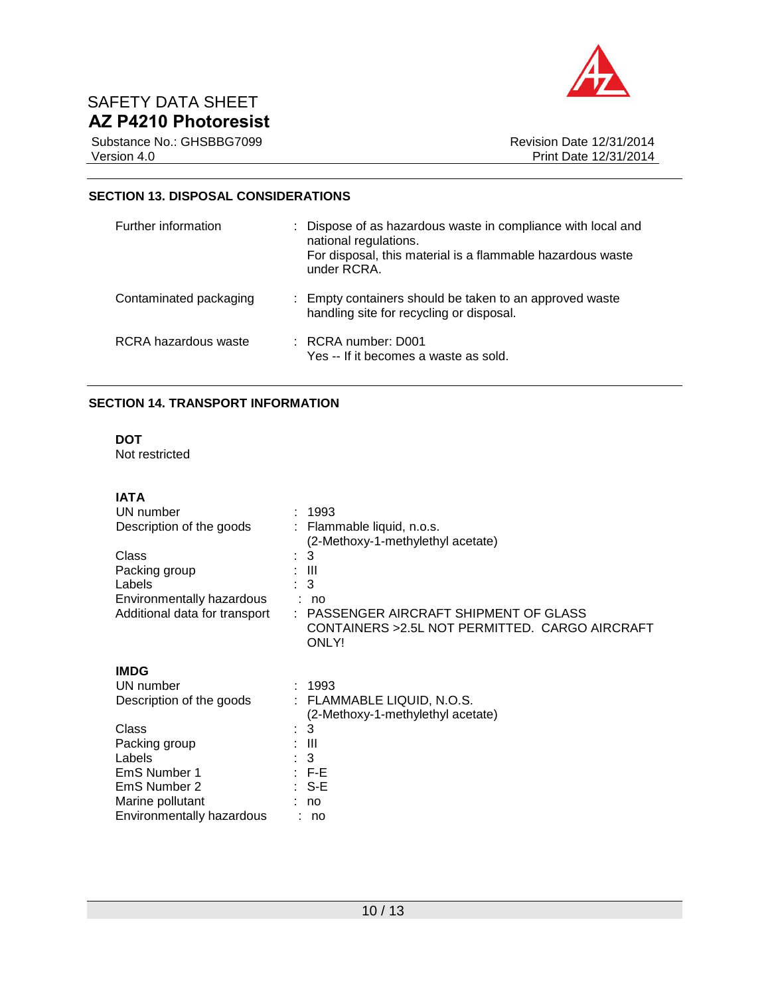

Substance No.: GHSBBG7099 Version 4.0

### **SECTION 13. DISPOSAL CONSIDERATIONS**

| Further information    | : Dispose of as hazardous waste in compliance with local and<br>national regulations.<br>For disposal, this material is a flammable hazardous waste<br>under RCRA. |
|------------------------|--------------------------------------------------------------------------------------------------------------------------------------------------------------------|
| Contaminated packaging | : Empty containers should be taken to an approved waste<br>handling site for recycling or disposal.                                                                |
| RCRA hazardous waste   | $\pm$ RCRA number: D001<br>Yes -- If it becomes a waste as sold.                                                                                                   |

## **SECTION 14. TRANSPORT INFORMATION**

## **DOT**

Not restricted

## **IATA**

| 1993                                            |
|-------------------------------------------------|
| : Flammable liquid, n.o.s.                      |
| (2-Methoxy-1-methylethyl acetate)               |
| 3<br>t.                                         |
| : III                                           |
| : 3                                             |
| : no                                            |
| : PASSENGER AIRCRAFT SHIPMENT OF GLASS          |
| CONTAINERS > 2.5L NOT PERMITTED. CARGO AIRCRAFT |
| ONLY!                                           |
|                                                 |
|                                                 |
| : 1993                                          |
| : FLAMMABLE LIQUID, N.O.S.                      |
| (2-Methoxy-1-methylethyl acetate)               |
| 3<br>t.                                         |
| : III                                           |
| : 3                                             |
| : F-E                                           |
| ∶ S-E                                           |
| no                                              |
| : no                                            |
|                                                 |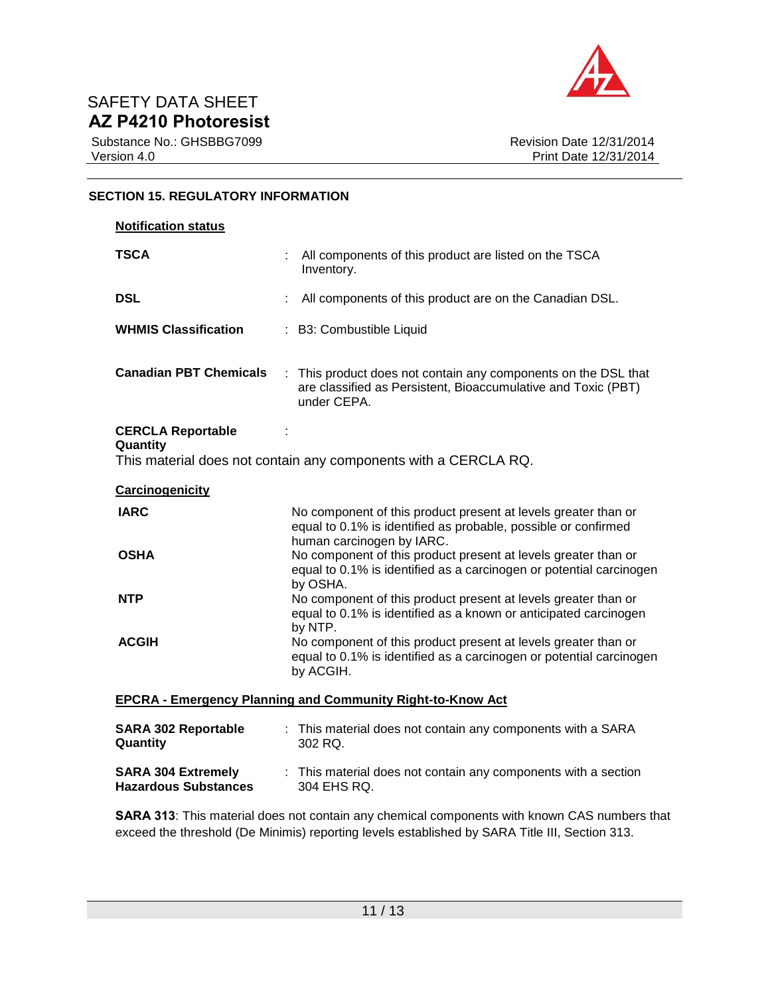

Substance No.: GHSBBG7099 Version 4.0

### **SECTION 15. REGULATORY INFORMATION**

| <b>Notification status</b>                                        |                                                                                                                                                               |  |
|-------------------------------------------------------------------|---------------------------------------------------------------------------------------------------------------------------------------------------------------|--|
| <b>TSCA</b>                                                       | All components of this product are listed on the TSCA<br>Inventory.                                                                                           |  |
| <b>DSL</b>                                                        | All components of this product are on the Canadian DSL.                                                                                                       |  |
| <b>WHMIS Classification</b>                                       | : B3: Combustible Liquid                                                                                                                                      |  |
| <b>Canadian PBT Chemicals</b>                                     | : This product does not contain any components on the DSL that<br>are classified as Persistent, Bioaccumulative and Toxic (PBT)<br>under CEPA.                |  |
| <b>CERCLA Reportable</b><br>Quantity                              | This material does not contain any components with a CERCLA RQ.                                                                                               |  |
| <b>Carcinogenicity</b>                                            |                                                                                                                                                               |  |
| <b>IARC</b>                                                       | No component of this product present at levels greater than or<br>equal to 0.1% is identified as probable, possible or confirmed<br>human carcinogen by IARC. |  |
| <b>OSHA</b>                                                       | No component of this product present at levels greater than or<br>equal to 0.1% is identified as a carcinogen or potential carcinogen<br>by OSHA.             |  |
| <b>NTP</b>                                                        | No component of this product present at levels greater than or<br>equal to 0.1% is identified as a known or anticipated carcinogen<br>by NTP.                 |  |
| <b>ACGIH</b>                                                      | No component of this product present at levels greater than or<br>equal to 0.1% is identified as a carcinogen or potential carcinogen<br>by ACGIH.            |  |
| <b>EPCRA - Emergency Planning and Community Right-to-Know Act</b> |                                                                                                                                                               |  |
| <b>SARA 302 Reportable</b><br>Quantity                            | : This material does not contain any components with a SARA<br>302 RQ.                                                                                        |  |

**SARA 304 Extremely Hazardous Substances** : This material does not contain any components with a section 304 EHS RQ.

**SARA 313**: This material does not contain any chemical components with known CAS numbers that exceed the threshold (De Minimis) reporting levels established by SARA Title III, Section 313.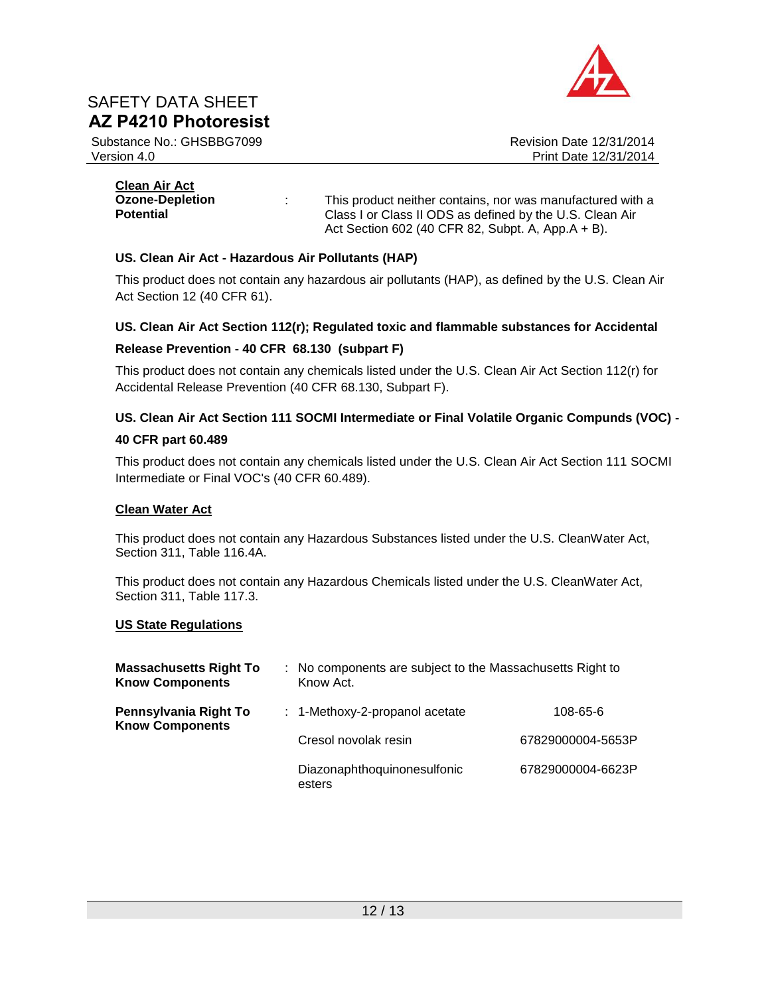

Substance No.: GHSBBG7099 Version 4.0

Revision Date 12/31/2014 Print Date 12/31/2014

| <b>Clean Air Act</b>   |   |                                                            |
|------------------------|---|------------------------------------------------------------|
| <b>Ozone-Depletion</b> | ÷ | This product neither contains, nor was manufactured with a |
| <b>Potential</b>       |   | Class I or Class II ODS as defined by the U.S. Clean Air   |
|                        |   | Act Section 602 (40 CFR 82, Subpt. A, App.A $+ B$ ).       |

### **US. Clean Air Act - Hazardous Air Pollutants (HAP)**

This product does not contain any hazardous air pollutants (HAP), as defined by the U.S. Clean Air Act Section 12 (40 CFR 61).

### **US. Clean Air Act Section 112(r); Regulated toxic and flammable substances for Accidental**

### **Release Prevention - 40 CFR 68.130 (subpart F)**

This product does not contain any chemicals listed under the U.S. Clean Air Act Section 112(r) for Accidental Release Prevention (40 CFR 68.130, Subpart F).

## **US. Clean Air Act Section 111 SOCMI Intermediate or Final Volatile Organic Compunds (VOC) -**

### **40 CFR part 60.489**

This product does not contain any chemicals listed under the U.S. Clean Air Act Section 111 SOCMI Intermediate or Final VOC's (40 CFR 60.489).

### **Clean Water Act**

This product does not contain any Hazardous Substances listed under the U.S. CleanWater Act, Section 311, Table 116.4A.

This product does not contain any Hazardous Chemicals listed under the U.S. CleanWater Act, Section 311, Table 117.3.

### **US State Regulations**

| <b>Massachusetts Right To</b><br><b>Know Components</b> | : No components are subject to the Massachusetts Right to<br>Know Act. |                   |
|---------------------------------------------------------|------------------------------------------------------------------------|-------------------|
| Pennsylvania Right To<br><b>Know Components</b>         | $: 1$ -Methoxy-2-propanol acetate                                      | 108-65-6          |
|                                                         | Cresol novolak resin                                                   | 67829000004-5653P |
|                                                         | Diazonaphthoquinonesulfonic<br>esters                                  | 67829000004-6623P |